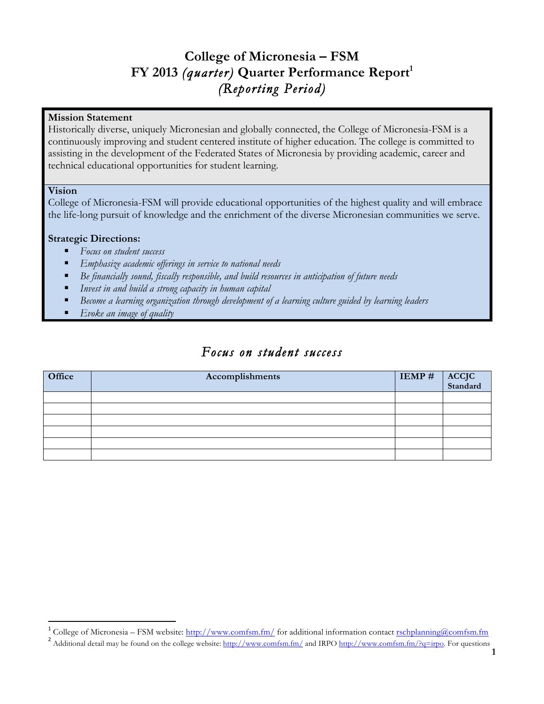### **College of Micronesia – FSM FY 2013 (quarter) Quarter Performance Report**<sup>1</sup> *(Reporting Period)*

### **Mission Statement**

Historically diverse, uniquely Micronesian and globally connected, the College of Micronesia-FSM is a continuously improving and student centered institute of higher education. The college is committed to assisting in the development of the Federated States of Micronesia by providing academic, career and technical educational opportunities for student learning.

### **Vision**

College of Micronesia-FSM will provide educational opportunities of the highest quality and will embrace the life-long pursuit of knowledge and the enrichment of the diverse Micronesian communities we serve.

### **Strategic Directions:**

- § *Focus on student success*
- § *Emphasize academic offerings in service to national needs*
- § *Be financially sound, fiscally responsible, and build resources in anticipation of future needs*
- § *Invest in and build a strong capacity in human capital*
- § *Become a learning organization through development of a learning culture guided by learning leaders*
- § *Evoke an image of quality*

### *Focus on student success*

| Office | Accomplishments | $IEMP \#$ | ACCJC<br>Standard |
|--------|-----------------|-----------|-------------------|
|        |                 |           |                   |
|        |                 |           |                   |
|        |                 |           |                   |
|        |                 |           |                   |
|        |                 |           |                   |
|        |                 |           |                   |

<sup>&</sup>lt;sup>1</sup> College of Micronesia – FSM website:  $\frac{http://www.comfsm.fm/}{http://www.comfsm.fm/}$  for additional information contact  $\frac{rschplanning(\&comfsm.fm)}{2}$ <br><sup>2</sup> Additional detail may be found on the college website:  $\frac{http://www.comfsm.fm/}$  and IRPO  $\frac{http://www.comfsm.fm/}$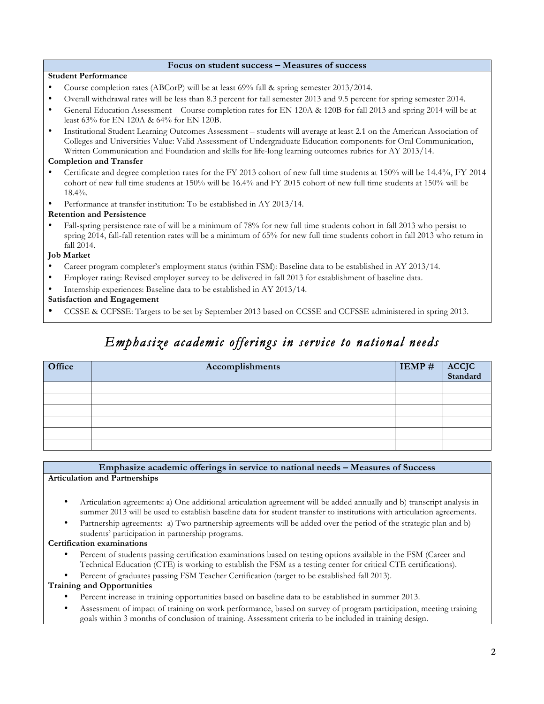#### **Focus on student success – Measures of success**

#### **Student Performance**

- Course completion rates (ABCorP) will be at least 69% fall & spring semester 2013/2014.
- Overall withdrawal rates will be less than 8.3 percent for fall semester 2013 and 9.5 percent for spring semester 2014.
- General Education Assessment Course completion rates for EN 120A & 120B for fall 2013 and spring 2014 will be at least 63% for EN 120A & 64% for EN 120B.
- Institutional Student Learning Outcomes Assessment students will average at least 2.1 on the American Association of Colleges and Universities Value: Valid Assessment of Undergraduate Education components for Oral Communication, Written Communication and Foundation and skills for life-long learning outcomes rubrics for AY 2013/14.

#### **Completion and Transfer**

- Certificate and degree completion rates for the FY 2013 cohort of new full time students at 150% will be 14.4%, FY 2014 cohort of new full time students at 150% will be 16.4% and FY 2015 cohort of new full time students at 150% will be 18.4%.
- Performance at transfer institution: To be established in AY 2013/14.

#### **Retention and Persistence**

• Fall-spring persistence rate of will be a minimum of 78% for new full time students cohort in fall 2013 who persist to spring 2014, fall-fall retention rates will be a minimum of 65% for new full time students cohort in fall 2013 who return in fall 2014.

#### **Job Market**

- Career program completer's employment status (within FSM): Baseline data to be established in AY 2013/14.
- Employer rating: Revised employer survey to be delivered in fall 2013 for establishment of baseline data.
- Internship experiences: Baseline data to be established in AY 2013/14.

#### **Satisfaction and Engagement**

• CCSSE & CCFSSE: Targets to be set by September 2013 based on CCSSE and CCFSSE administered in spring 2013.

# *Emphasize academic offerings in service to national needs*

| Office | Accomplishments | IEMP # ACCJC<br>Standard |  |
|--------|-----------------|--------------------------|--|
|        |                 |                          |  |
|        |                 |                          |  |
|        |                 |                          |  |
|        |                 |                          |  |
|        |                 |                          |  |
|        |                 |                          |  |

#### **Emphasize academic offerings in service to national needs – Measures of Success**

**Articulation and Partnerships**

- Articulation agreements: a) One additional articulation agreement will be added annually and b) transcript analysis in summer 2013 will be used to establish baseline data for student transfer to institutions with articulation agreements.
- Partnership agreements: a) Two partnership agreements will be added over the period of the strategic plan and b) students' participation in partnership programs.

#### **Certification examinations**

- Percent of students passing certification examinations based on testing options available in the FSM (Career and Technical Education (CTE) is working to establish the FSM as a testing center for critical CTE certifications).
- Percent of graduates passing FSM Teacher Certification (target to be established fall 2013).

#### **Training and Opportunities**

- Percent increase in training opportunities based on baseline data to be established in summer 2013.
- Assessment of impact of training on work performance, based on survey of program participation, meeting training goals within 3 months of conclusion of training. Assessment criteria to be included in training design.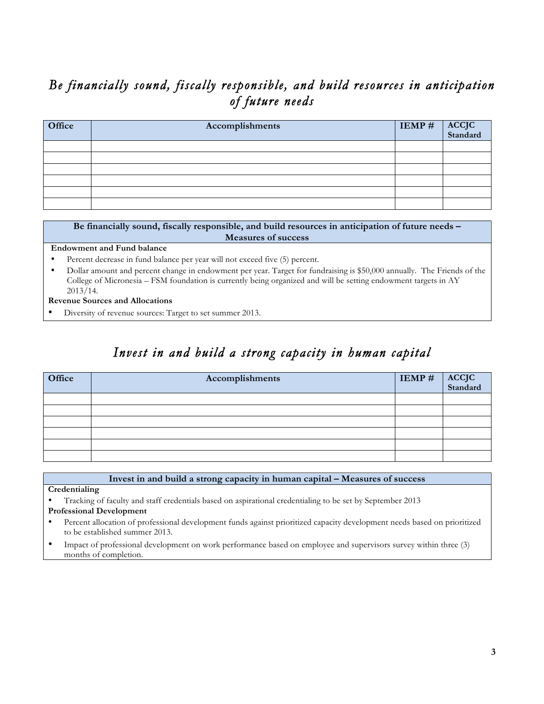# *Be financially sound, fiscally responsible, and build resources in anticipation of future needs*

| Office | Accomplishments | $IEMP \#$ | ACCJC<br>Standard |
|--------|-----------------|-----------|-------------------|
|        |                 |           |                   |
|        |                 |           |                   |
|        |                 |           |                   |
|        |                 |           |                   |
|        |                 |           |                   |
|        |                 |           |                   |

**Be financially sound, fiscally responsible, and build resources in anticipation of future needs – Measures of success**

#### **Endowment and Fund balance**

- Percent decrease in fund balance per year will not exceed five (5) percent.
- Dollar amount and percent change in endowment per year. Target for fundraising is \$50,000 annually. The Friends of the College of Micronesia – FSM foundation is currently being organized and will be setting endowment targets in AY 2013/14.

#### **Revenue Sources and Allocations**

• Diversity of revenue sources: Target to set summer 2013.

### *Invest in and build a strong capacity in human capital*

| Office | Accomplishments | $IEMP \#$ | ACCJC<br>Standard |
|--------|-----------------|-----------|-------------------|
|        |                 |           |                   |
|        |                 |           |                   |
|        |                 |           |                   |
|        |                 |           |                   |
|        |                 |           |                   |
|        |                 |           |                   |

**Invest in and build a strong capacity in human capital – Measures of success**

#### **Credentialing**

• Tracking of faculty and staff credentials based on aspirational credentialing to be set by September 2013

#### **Professional Development**

- Percent allocation of professional development funds against prioritized capacity development needs based on prioritized to be established summer 2013.
- Impact of professional development on work performance based on employee and supervisors survey within three (3) months of completion.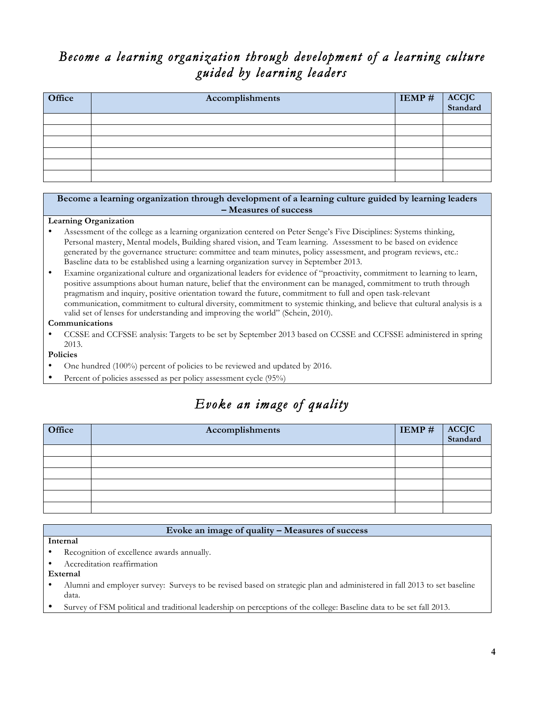### *Become a learning organization through development of a learning culture guided by learning leaders*

| Office | Accomplishments | IEMP# | ACCJC<br>Standard |
|--------|-----------------|-------|-------------------|
|        |                 |       |                   |
|        |                 |       |                   |
|        |                 |       |                   |
|        |                 |       |                   |
|        |                 |       |                   |
|        |                 |       |                   |

#### **Become a learning organization through development of a learning culture guided by learning leaders – Measures of success**

#### **Learning Organization**

- Assessment of the college as a learning organization centered on Peter Senge's Five Disciplines: Systems thinking, Personal mastery, Mental models, Building shared vision, and Team learning. Assessment to be based on evidence generated by the governance structure: committee and team minutes, policy assessment, and program reviews, etc.: Baseline data to be established using a learning organization survey in September 2013.
- Examine organizational culture and organizational leaders for evidence of "proactivity, commitment to learning to learn, positive assumptions about human nature, belief that the environment can be managed, commitment to truth through pragmatism and inquiry, positive orientation toward the future, commitment to full and open task-relevant communication, commitment to cultural diversity, commitment to systemic thinking, and believe that cultural analysis is a valid set of lenses for understanding and improving the world" (Schein, 2010).

#### **Communications**

• CCSSE and CCFSSE analysis: Targets to be set by September 2013 based on CCSSE and CCFSSE administered in spring 2013.

#### **Policies**

- One hundred (100%) percent of policies to be reviewed and updated by 2016.
- Percent of policies assessed as per policy assessment cycle (95%)

# *Evoke an image of quality*

| Office | Accomplishments | $IEMP \#$ | ACCJC<br>Standard |
|--------|-----------------|-----------|-------------------|
|        |                 |           |                   |
|        |                 |           |                   |
|        |                 |           |                   |
|        |                 |           |                   |
|        |                 |           |                   |
|        |                 |           |                   |

#### **Evoke an image of quality – Measures of success**

**Internal** 

- Recognition of excellence awards annually.
- Accreditation reaffirmation

#### **External**

- Alumni and employer survey: Surveys to be revised based on strategic plan and administered in fall 2013 to set baseline data.
- Survey of FSM political and traditional leadership on perceptions of the college: Baseline data to be set fall 2013.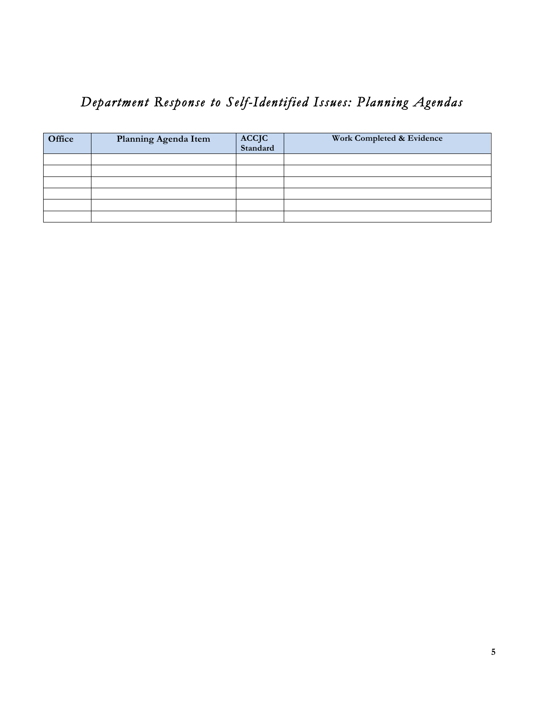# *Department Response to Self-Identified Issues: Planning Agendas*

| Office | Planning Agenda Item | ACCJC<br>Standard | Work Completed & Evidence |
|--------|----------------------|-------------------|---------------------------|
|        |                      |                   |                           |
|        |                      |                   |                           |
|        |                      |                   |                           |
|        |                      |                   |                           |
|        |                      |                   |                           |
|        |                      |                   |                           |